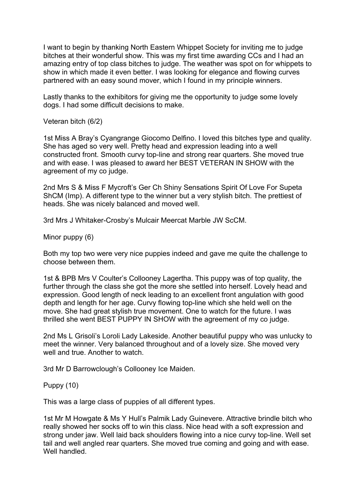I want to begin by thanking North Eastern Whippet Society for inviting me to judge bitches at their wonderful show. This was my first time awarding CCs and I had an amazing entry of top class bitches to judge. The weather was spot on for whippets to show in which made it even better. I was looking for elegance and flowing curves partnered with an easy sound mover, which I found in my principle winners.

Lastly thanks to the exhibitors for giving me the opportunity to judge some lovely dogs. I had some difficult decisions to make.

Veteran bitch (6/2)

1st Miss A Bray's Cyangrange Giocomo Delfino. I loved this bitches type and quality. She has aged so very well. Pretty head and expression leading into a well constructed front. Smooth curvy top-line and strong rear quarters. She moved true and with ease. I was pleased to award her BEST VETERAN IN SHOW with the agreement of my co judge.

2nd Mrs S & Miss F Mycroft's Ger Ch Shiny Sensations Spirit Of Love For Supeta ShCM (Imp). A different type to the winner but a very stylish bitch. The prettiest of heads. She was nicely balanced and moved well.

3rd Mrs J Whitaker-Crosby's Mulcair Meercat Marble JW ScCM.

Minor puppy (6)

Both my top two were very nice puppies indeed and gave me quite the challenge to choose between them.

1st & BPB Mrs V Coulter's Collooney Lagertha. This puppy was of top quality, the further through the class she got the more she settled into herself. Lovely head and expression. Good length of neck leading to an excellent front angulation with good depth and length for her age. Curvy flowing top-line which she held well on the move. She had great stylish true movement. One to watch for the future. I was thrilled she went BEST PUPPY IN SHOW with the agreement of my co judge.

2nd Ms L Grisoli's Loroli Lady Lakeside. Another beautiful puppy who was unlucky to meet the winner. Very balanced throughout and of a lovely size. She moved very well and true. Another to watch.

3rd Mr D Barrowclough's Collooney Ice Maiden.

Puppy (10)

This was a large class of puppies of all different types.

1st Mr M Howgate & Ms Y Hull's Palmik Lady Guinevere. Attractive brindle bitch who really showed her socks off to win this class. Nice head with a soft expression and strong under jaw. Well laid back shoulders flowing into a nice curvy top-line. Well set tail and well angled rear quarters. She moved true coming and going and with ease. Well handled.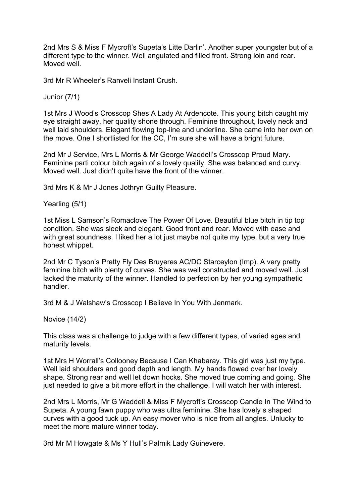2nd Mrs S & Miss F Mycroft's Supeta's Litte Darlin'. Another super youngster but of a different type to the winner. Well angulated and filled front. Strong loin and rear. Moved well.

3rd Mr R Wheeler's Ranveli Instant Crush.

Junior (7/1)

1st Mrs J Wood's Crosscop Shes A Lady At Ardencote. This young bitch caught my eye straight away, her quality shone through. Feminine throughout, lovely neck and well laid shoulders. Elegant flowing top-line and underline. She came into her own on the move. One I shortlisted for the CC, I'm sure she will have a bright future.

2nd Mr J Service, Mrs L Morris & Mr George Waddell's Crosscop Proud Mary. Feminine parti colour bitch again of a lovely quality. She was balanced and curvy. Moved well. Just didn't quite have the front of the winner.

3rd Mrs K & Mr J Jones Jothryn Guilty Pleasure.

Yearling (5/1)

1st Miss L Samson's Romaclove The Power Of Love. Beautiful blue bitch in tip top condition. She was sleek and elegant. Good front and rear. Moved with ease and with great soundness. I liked her a lot just maybe not quite my type, but a very true honest whippet.

2nd Mr C Tyson's Pretty Fly Des Bruyeres AC/DC Starceylon (Imp). A very pretty feminine bitch with plenty of curves. She was well constructed and moved well. Just lacked the maturity of the winner. Handled to perfection by her young sympathetic handler.

3rd M & J Walshaw's Crosscop I Believe In You With Jenmark.

Novice (14/2)

This class was a challenge to judge with a few different types, of varied ages and maturity levels.

1st Mrs H Worrall's Collooney Because I Can Khabaray. This girl was just my type. Well laid shoulders and good depth and length. My hands flowed over her lovely shape. Strong rear and well let down hocks. She moved true coming and going. She just needed to give a bit more effort in the challenge. I will watch her with interest.

2nd Mrs L Morris, Mr G Waddell & Miss F Mycroft's Crosscop Candle In The Wind to Supeta. A young fawn puppy who was ultra feminine. She has lovely s shaped curves with a good tuck up. An easy mover who is nice from all angles. Unlucky to meet the more mature winner today.

3rd Mr M Howgate & Ms Y Hull's Palmik Lady Guinevere.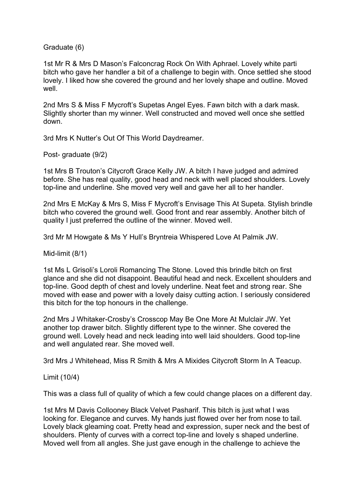Graduate (6)

1st Mr R & Mrs D Mason's Falconcrag Rock On With Aphrael. Lovely white parti bitch who gave her handler a bit of a challenge to begin with. Once settled she stood lovely. I liked how she covered the ground and her lovely shape and outline. Moved well.

2nd Mrs S & Miss F Mycroft's Supetas Angel Eyes. Fawn bitch with a dark mask. Slightly shorter than my winner. Well constructed and moved well once she settled down.

3rd Mrs K Nutter's Out Of This World Daydreamer.

Post- graduate (9/2)

1st Mrs B Trouton's Citycroft Grace Kelly JW. A bitch I have judged and admired before. She has real quality, good head and neck with well placed shoulders. Lovely top-line and underline. She moved very well and gave her all to her handler.

2nd Mrs E McKay & Mrs S, Miss F Mycroft's Envisage This At Supeta. Stylish brindle bitch who covered the ground well. Good front and rear assembly. Another bitch of quality I just preferred the outline of the winner. Moved well.

3rd Mr M Howgate & Ms Y Hull's Bryntreia Whispered Love At Palmik JW.

Mid-limit (8/1)

1st Ms L Grisoli's Loroli Romancing The Stone. Loved this brindle bitch on first glance and she did not disappoint. Beautiful head and neck. Excellent shoulders and top-line. Good depth of chest and lovely underline. Neat feet and strong rear. She moved with ease and power with a lovely daisy cutting action. I seriously considered this bitch for the top honours in the challenge.

2nd Mrs J Whitaker-Crosby's Crosscop May Be One More At Mulclair JW. Yet another top drawer bitch. Slightly different type to the winner. She covered the ground well. Lovely head and neck leading into well laid shoulders. Good top-line and well angulated rear. She moved well.

3rd Mrs J Whitehead, Miss R Smith & Mrs A Mixides Citycroft Storm In A Teacup.

Limit (10/4)

This was a class full of quality of which a few could change places on a different day.

1st Mrs M Davis Collooney Black Velvet Pasharif. This bitch is just what I was looking for. Elegance and curves. My hands just flowed over her from nose to tail. Lovely black gleaming coat. Pretty head and expression, super neck and the best of shoulders. Plenty of curves with a correct top-line and lovely s shaped underline. Moved well from all angles. She just gave enough in the challenge to achieve the